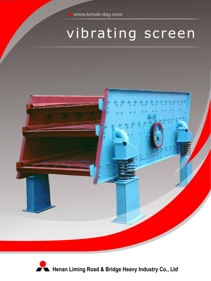# vibrating screen



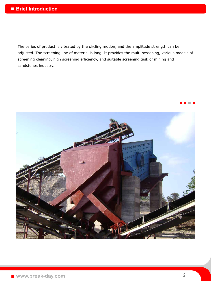The series of product is vibrated by the circling motion, and the amplitude strength can be adjusted. The screening line of material is long. It provides the multi-screening, various models of screening cleaning, high screening efficiency, and suitable screening task of mining and sandstones industry.

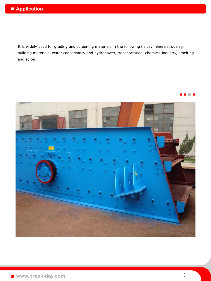It is widely used for grading and screening materials in the following fields: minerals, quarry, building materials, water conservancy and hydropower, transportation, chemical industry, smelting and so on.



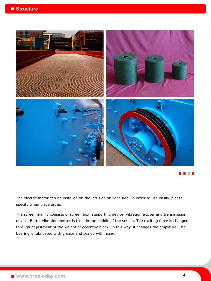

The electric motor can be installed on the left side or right side .In order to use easily, please specify when place order.

The screen mainly consists of screen box, supporting device, vibration exciter and transmission device. Barrel vibration exciter is fixed in the middle of the screen. The exciting force is changed through adjustment of the weight of eccentric block. In this way, it changes the ampliture. The bearing is lubricated with grease and sealed with maze.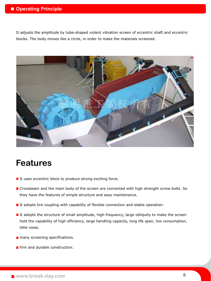#### $\blacksquare$  **Operating Principle**

It adjusts the amplitude by tube-shaped violent vibration screen of eccentric shaft and eccentric blocks. The body moves like a circle, in order to make the materials screened.



## **Features**

- $\blacksquare$  It uses eccentric block to produce strong exciting force.
- **E** Crossbeam and the main body of the screen are connected with high strength screw bolts. So they have the features of simple structure and easy maintenance.
- $\blacksquare$  It adopts tire coupling with capability of flexible connection and stable operation.
- If adopts the structure of small amplitude, high frequency, large obliquity to make the screen hold the capability of high efficiency, large handling capacity, long life span, low consumption, little noise.
- **n** many screening specifications.
- **Firm and durable construction.**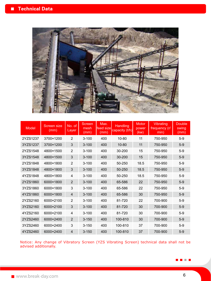

| Model    | Screen size<br>(mm) | No. of<br>Layer | Screen<br>mesh<br>(mm) | Max.<br>feed size<br>(mm) | Handling<br>capacity (t/h) | Motor<br>power<br>(kw) | Vibrating<br>frequency (r/<br>min) | <b>Double</b><br>swing<br>(mm) |
|----------|---------------------|-----------------|------------------------|---------------------------|----------------------------|------------------------|------------------------------------|--------------------------------|
| 2YZS1237 | 3700×1200           | 2               | $3 - 100$              | 400                       | 10-80                      | 11                     | 750-950                            | $5-9$                          |
| 3YZS1237 | 3700×1200           | 3               | $3 - 100$              | 400                       | 10-80                      | 11                     | 750-950                            | $5-9$                          |
| 2YZS1548 | 4800×1500           | $\overline{2}$  | $3 - 100$              | 400                       | 30-200                     | 15                     | 750-950                            | $5-9$                          |
| 3YZS1548 | 4800×1500           | 3               | $3 - 100$              | 400                       | 30-200                     | 15                     | 750-950                            | $5-9$                          |
| 2YZS1848 | 4800×1800           | $\overline{2}$  | $3 - 100$              | 400                       | 50-250                     | 18.5                   | 750-950                            | $5-9$                          |
| 3YZS1848 | 4800×1800           | 3               | $3 - 100$              | 400                       | 50-250                     | 18.5                   | 750-950                            | $5-9$                          |
| 4YZS1848 | 4800×1800           | 4               | $3 - 100$              | 400                       | 50-250                     | 18.5                   | 750-950                            | $5-9$                          |
| 2YZS1860 | 6000×1800           | $\overline{2}$  | $3 - 100$              | 400                       | 65-586                     | 22                     | 750-950                            | $5-9$                          |
| 3YZS1860 | 6000×1800           | 3               | $3 - 100$              | 400                       | 65-586                     | 22                     | 750-950                            | $5-9$                          |
| 4YZS1860 | 6000×1800           | 4               | $3 - 100$              | 400                       | 65-586                     | 30                     | 750-950                            | $5-9$                          |
| 2YZS2160 | 6000×2100           | $\overline{2}$  | $3 - 100$              | 400                       | 81-720                     | 22                     | 700-900                            | $5-9$                          |
| 3YZS2160 | 6000×2100           | 3               | $3 - 100$              | 400                       | 81-720                     | 30                     | 700-900                            | $5-9$                          |
| 4YZS2160 | 6000×2100           | 4               | $3 - 100$              | 400                       | 81-720                     | 30                     | 700-900                            | $5-9$                          |
| 2YZS2460 | 6000×2400           | $\overline{2}$  | $3 - 150$              | 400                       | 100-810                    | 30                     | 700-900                            | $5-9$                          |
| 3YZS2460 | 6000×2400           | 3               | $3 - 150$              | 400                       | 100-810                    | 37                     | 700-900                            | $5-9$                          |
| 4YZS2460 | 6000×2400           | 4               | $3 - 150$              | 400                       | 100-810                    | 37                     | 700-900                            | $5-9$                          |

Notice: Any change of Vibratory Screen (YZS Vibrating Screen) technical data shall not be advised additionally.